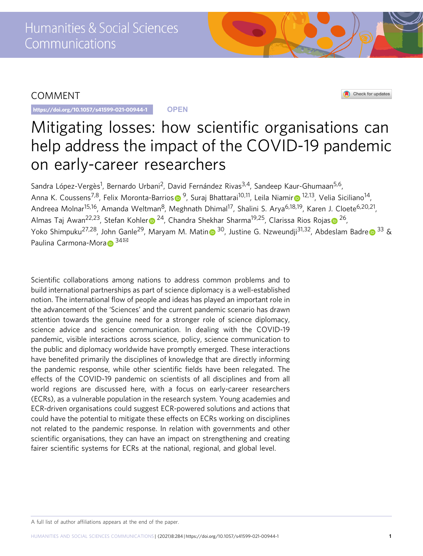# COMMENT

https://doi.org/10.1057/s41599-021-00944-1 **OPEN**

Check for updates

# Mitigating losses: how scientific organisations can help address the impact of the COVID-19 pandemic on early-career researchers

Sandra López-Vergès<sup>1</sup>, Bernardo Urbani<sup>2</sup>, David Fernández Rivas<sup>3,4</sup>, Sandeep Kaur-Ghumaan<sup>5,6</sup>, Anna K. Cou[s](http://orcid.org/0000-0002-9433-8576)sens<sup>7,8</sup>, Felix Mo[r](http://orcid.org/0000-0002-0285-5542)onta-Barrios <sup>9</sup>, Suraj Bhattarai<sup>[1](http://orcid.org/0000-0002-0285-5542)0,11</sup>, Leila Niamir <sup>12,13</sup>, Velia Siciliano<sup>14</sup>, Andreea Molnar<sup>15,16</sup>, Amanda Weltman<sup>8</sup>, Meghnath Dhimal<sup>17</sup>, Shalini S. Arya<sup>6,18,19</sup>, Karen J. Cloete<sup>6,20,21</sup>, Almas Taj Awan<sup>22,23</sup>, Stefan Kohle[r](http://orcid.org/0000-0003-1365-7506) <[s](http://orcid.org/0000-0001-6544-4663)up>[2](http://orcid.org/0000-0001-6544-4663)4</sup>, Chandra Shekhar Sharma<sup>19,25</sup>, Clarissa Rios Rojas <sup>26</sup>, Yoko Shimpuku<sup>27,28</sup>, Joh[n](http://orcid.org/0000-0002-7949-7712) Ganl[e](http://orcid.org/0000-0002-8582-2892)<sup>29</sup>, Maryam M. Matin <sup>30</sup>, Justine G. Nzweundji<sup>31,32</sup>, Abdeslam Badre <sup>33</sup> & P[a](http://orcid.org/0000-0001-8560-1232)ulina Carmona-Mora <sup>[3](http://orcid.org/0000-0001-8560-1232)4 $\boxtimes$ </sup>

Scientific collaborations among nations to address common problems and to build international partnerships as part of science diplomacy is a well-established notion. The international flow of people and ideas has played an important role in the advancement of the 'Sciences' and the current pandemic scenario has drawn attention towards the genuine need for a stronger role of science diplomacy, science advice and science communication. In dealing with the COVID-19 pandemic, visible interactions across science, policy, science communication to the public and diplomacy worldwide have promptly emerged. These interactions have benefited primarily the disciplines of knowledge that are directly informing the pandemic response, while other scientific fields have been relegated. The effects of the COVID-19 pandemic on scientists of all disciplines and from all world regions are discussed here, with a focus on early-career researchers (ECRs), as a vulnerable population in the research system. Young academies and ECR-driven organisations could suggest ECR-powered solutions and actions that could have the potential to mitigate these effects on ECRs working on disciplines not related to the pandemic response. In relation with governments and other scientific organisations, they can have an impact on strengthening and creating fairer scientific systems for ECRs at the national, regional, and global level.

A full list of author affiliations appears at the end of the paper.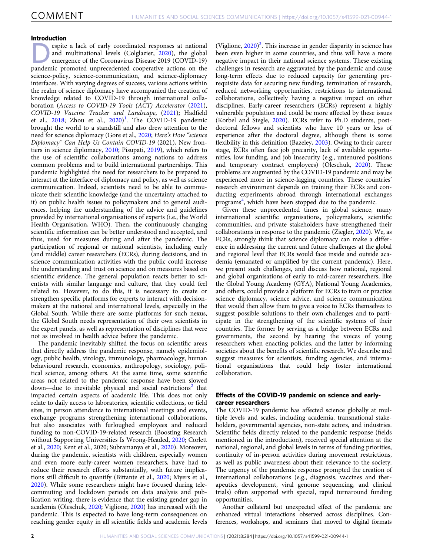# Introduction

espite a lack of early coordinated responses at national<br>and multinational levels (Colglazier, 2020), the global<br>and mergence of the Coronavirus Disease 2019 (COVID-19) and multinational levels (Colglazier, [2020](#page-6-0)), the global pandemic promoted unprecedented cooperative actions on the science-policy, science-communication, and science-diplomacy interfaces. With varying degrees of success, various actions within the realm of science diplomacy have accompanied the creation of knowledge related to COVID-19 through international collaboration (Access to COVID-19 Tools (ACT) Accelerator [\(2021](#page-6-0)), COVID-19 Vaccine Tracker and Landscape, ([2021](#page-6-0)); Hadfield et al., [2018;](#page-6-0) Zhou et al., [2020](#page-6-0))<sup>[1](#page-5-0)</sup>. The COVID-19 pandemic brought the world to a standstill and also drew attention to the need for science diplomacy (Gore et al., [2020;](#page-6-0) Here's How "science Diplomacy" Can Help Us Contain COVID-19 (2021), New frontiers in science diplomacy, [2010](#page-6-0); Pisupati, [2019](#page-6-0)), which refers to the use of scientific collaborations among nations to address common problems and to build international partnerships. This pandemic highlighted the need for researchers to be prepared to interact at the interface of diplomacy and policy, as well as science communication. Indeed, scientists need to be able to communicate their scientific knowledge (and the uncertainty attached to it) on public health issues to policymakers and to general audiences, helping the understanding of the advice and guidelines provided by international organisations of experts (i.e., the World Health Organisation, WHO). Then, the continuously changing scientific information can be better understood and accepted, and thus, used for measures during and after the pandemic. The participation of regional or national scientists, including early (and middle) career researchers (ECRs), during decisions, and in science communication activities with the public could increase the understanding and trust on science and on measures based on scientific evidence. The general population reacts better to scientists with similar language and culture, that they could feel related to. However, to do this, it is necessary to create or strengthen specific platforms for experts to interact with decisionmakers at the national and international levels, especially in the Global South. While there are some platforms for such nexus, the Global South needs representation of their own scientists in the expert panels, as well as representation of disciplines that were not as involved in health advice before the pandemic.

The pandemic inevitably shifted the focus on scientific areas that directly address the pandemic response, namely epidemiology, public health, virology, immunology, pharmacology, human behavioural research, economics, anthropology, sociology, political science, among others. At the same time, some scientific areas not related to the pandemic response have been slowed  $down$ —due to inevitable physical and social restrictions<sup>[2](#page-5-0)</sup> that impacted certain aspects of academic life. This does not only relate to daily access to laboratories, scientific collections, or field sites, in person attendance to international meetings and events, exchange programs strengthening international collaborations, but also associates with furloughed employees and reduced funding to non-COVID-19-related research (Boosting Research without Supporting Universities Is Wrong-Headed, [2020](#page-6-0); Corlett et al., [2020](#page-6-0); Kent et al., 2020; Subramanya et al., [2020\)](#page-6-0). Moreover, during the pandemic, scientists with children, especially women and even more early-career women researchers, have had to reduce their research efforts substantially, with future implications still difficult to quantify (Bittante et al., [2020;](#page-6-0) Myers et al., [2020\)](#page-6-0). While some researchers might have focused during telecommuting and lockdown periods on data analysis and publication writing, there is evidence that the existing gender gap in academia (Oleschuk, [2020;](#page-6-0) Viglione, [2020\)](#page-6-0) has increased with the pandemic. This is expected to have long-term consequences on reaching gender equity in all scientific fields and academic levels

(Viglione, [2020\)](#page-6-0) [3](#page-5-0) . This increase in gender disparity in science has been even higher in some countries, and thus will have a more negative impact in their national science systems. These existing challenges in research are aggravated by the pandemic and cause long-term effects due to reduced capacity for generating prerequisite data for securing new funding, termination of research, reduced networking opportunities, restrictions to international collaborations, collectively having a negative impact on other disciplines. Early-career researchers (ECRs) represent a highly vulnerable population and could be more affected by these issues (Korbel and Stegle, [2020\)](#page-6-0). ECRs refer to Ph.D students, postdoctoral fellows and scientists who have 10 years or less of experience after the doctoral degree, although there is some flexibility in this definition (Bazeley, [2003\)](#page-6-0). Owing to their career stage, ECRs often face job precarity, lack of available opportunities, low funding, and job insecurity (e.g., untenured positions and temporary contract employees) (Oleschuk, [2020](#page-6-0)). These problems are augmented by the COVID-19 pandemic and may be experienced more in science-lagging countries. These countries' research environment depends on training their ECRs and conducting experiments abroad through international exchanges programs<sup>[4](#page-6-0)</sup>, which have been stopped due to the pandemic.

Given these unprecedented times in global science, many international scientific organisations, policymakers, scientific communities, and private stakeholders have strengthened their collaborations in response to the pandemic (Ziegler, [2020](#page-6-0)). We, as ECRs, strongly think that science diplomacy can make a difference in addressing the current and future challenges at the global and regional level that ECRs would face inside and outside academia (emanated or amplified by the current pandemic). Here, we present such challenges, and discuss how national, regional and global organisations of early to mid-career researchers, like the Global Young Academy (GYA), National Young Academies, and others, could provide a platform for ECRs to train or practice science diplomacy, science advice, and science communication that would then allow them to give a voice to ECRs themselves to suggest possible solutions to their own challenges and to participate in the strengthening of the scientific systems of their countries. The former by serving as a bridge between ECRs and governments, the second by hearing the voices of young researchers when enacting policies, and the latter by informing societies about the benefits of scientific research. We describe and suggest measures for scientists, funding agencies, and international organisations that could help foster international collaboration.

# Effects of the COVID-19 pandemic on science and earlycareer researchers

The COVID-19 pandemic has affected science globally at multiple levels and scales, including academia, transnational stakeholders, governmental agencies, non-state actors, and industries. Scientific fields directly related to the pandemic response (fields mentioned in the introduction), received special attention at the national, regional, and global levels in terms of funding priorities, continuity of in-person activities during movement restrictions, as well as public awareness about their relevance to the society. The urgency of the pandemic response prompted the creation of international collaborations (e.g., diagnosis, vaccines and therapeutics development, viral genome sequencing, and clinical trials) often supported with special, rapid turnaround funding opportunities.

Another collateral but unexpected effect of the pandemic are enhanced virtual interactions observed across disciplines. Conferences, workshops, and seminars that moved to digital formats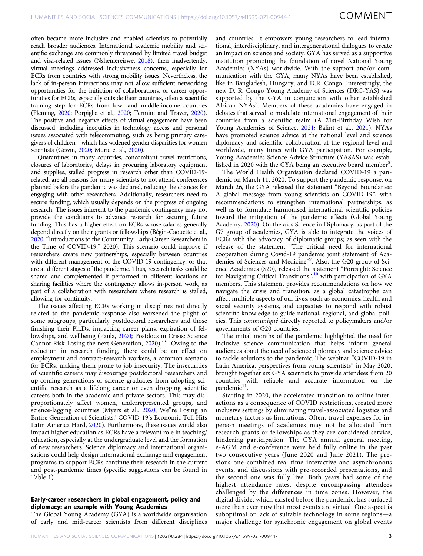often became more inclusive and enabled scientists to potentially reach broader audiences. International academic mobility and scientific exchange are commonly threatened by limited travel budget and visa-related issues (Nshemereirwe, [2018\)](#page-6-0), then inadvertently, virtual meetings addressed inclusiveness concerns, especially for ECRs from countries with strong mobility issues. Nevertheless, the lack of in-person interactions may not allow sufficient networking opportunities for the initiation of collaborations, or career opportunities for ECRs, especially outside their countries, often a scientific training step for ECRs from low- and middle-income countries (Fleming, [2020](#page-6-0); Porpiglia et al., [2020;](#page-6-0) Termini and Traver, [2020\)](#page-6-0). The positive and negative effects of virtual engagement have been discussed, including inequities in technology access and personal issues associated with telecommuting, such as being primary caregivers of children—which has widened gender disparities for women scientists (Gewin, [2020](#page-6-0); Muric et al., 2020).

Quarantines in many countries, concomitant travel restrictions, closures of laboratories, delays in procuring laboratory equipment and supplies, stalled progress in research other than COVID-19 related, are all reasons for many scientists to not attend conferences planned before the pandemic was declared, reducing the chances for engaging with other researchers. Additionally, researchers need to secure funding, which usually depends on the progress of ongoing research. The issues inherent to the pandemic contingency may not provide the conditions to advance research for securing future funding. This has a higher effect on ECRs whose salaries generally depend directly on their grants or fellowships (Bégin-Caouette et al., [2020;](#page-6-0) "Introductions to the Community: Early-Career Researchers in the Time of COVID-19," 2020). This scenario could improve if researchers create new partnerships, especially between countries with different management of the COVID-19 contingency, or that are at different stages of the pandemic. Thus, research tasks could be shared and complemented if performed in different locations or sharing facilities where the contingency allows in-person work, as part of a collaboration with researchers where research is stalled, allowing for continuity.

The issues affecting ECRs working in disciplines not directly related to the pandemic response also worsened the plight of some subgroups, particularly postdoctoral researchers and those finishing their Ph.Ds, impacting career plans, expiration of fellowships, and wellbeing (Paula, [2020;](#page-6-0) Postdocs in Crisis: Science Cannot Risk Losing the next Generation, [2020\)](#page-6-0)<sup>56</sup>. Owing to the reduction in research funding, there could be an effect on employment and contract-research workers, a common scenario for ECRs, making them prone to job insecurity. The insecurities of scientific careers may discourage postdoctoral researchers and up-coming generations of science graduates from adopting scientific research as a lifelong career or even dropping scientific careers both in the academic and private sectors. This may disproportionately affect women, underrepresented groups, and science-lagging countries (Myers et al., [2020;](#page-6-0) We"re Losing an Entire Generation of Scientists.' COVID-19's Economic Toll Hits Latin America Hard, [2020](#page-6-0)). Furthermore, these issues would also impact higher education as ECRs have a relevant role in teaching/ education, especially at the undergraduate level and the formation of new researchers. Science diplomacy and international organisations could help design international exchange and engagement programs to support ECRs continue their research in the current and post-pandemic times (specific suggestions can be found in Table [1](#page-3-0)).

# Early-career researchers in global engagement, policy and diplomacy: an example with Young Academies

The Global Young Academy (GYA) is a worldwide organisation of early and mid-career scientists from different disciplines and countries. It empowers young researchers to lead international, interdisciplinary, and intergenerational dialogues to create an impact on science and society. GYA has served as a supportive institution promoting the foundation of novel National Young Academies (NYAs) worldwide. With the support and/or communication with the GYA, many NYAs have been established, like in Bangladesh, Hungary, and D.R. Congo. Interestingly, the new D. R. Congo Young Academy of Sciences (DRC-YAS) was supported by the GYA in conjunction with other established African NYAs<sup>[7](#page-6-0)</sup>. Members of these academies have engaged in debates that served to modulate international engagement of their countries from a scientific realm (A 21st-Birthday Wish for Young Academies of Science, [2021](#page-6-0); Bálint et al., [2021](#page-6-0)). NYAs have promoted science advice at the national level and science diplomacy and scientific collaboration at the regional level and worldwide, many times with GYA participation. For example, Young Academies Science Advice Structure (YASAS) was estab-lished in 2020 with the GYA being an executive board member<sup>[8](#page-6-0)</sup>.

The World Health Organisation declared COVID-19 a pandemic on March 11, 2020. To support the pandemic response, on March 26, the GYA released the statement "Beyond Boundaries: A global message from young scientists on COVID-19", with recommendations to strengthen international partnerships, as well as to formulate harmonised international scientific policies toward the mitigation of the pandemic effects (Global Young Academy, [2020\)](#page-6-0). On the axis Science in Diplomacy, as part of the G7 group of academies, GYA is able to integrate the voices of ECRs with the advocacy of diplomatic groups; as seen with the release of the statement "The critical need for international cooperation during Covid-19 pandemic joint statement of Aca-demies of Sciences and Medicine"<sup>[9](#page-6-0)</sup>. Also, the G20 group of Science Academies (S20), released the statement "Foresight: Science for Navigating Critical Transitions",<sup>[10](#page-6-0)</sup> with participation of GYA members. This statement provides recommendations on how we navigate the crisis and transition, as a global catastrophe can affect multiple aspects of our lives, such as economies, health and social security systems, and capacities to respond with robust scientific knowledge to guide national, regional, and global policies. This communiqué directly reported to policymakers and/or governments of G20 countries.

The initial months of the pandemic highlighted the need for inclusive science communication that helps inform general audiences about the need of science diplomacy and science advice to tackle solutions to the pandemic. The webinar "COVID-19 in Latin America, perspectives from young scientists" in May 2020, brought together six GYA scientists to provide attendees from 20 countries with reliable and accurate information on the pandemic<sup>11</sup>.

Starting in 2020, the accelerated transition to online interactions as a consequence of COVID restrictions, created more inclusive settings by eliminating travel-associated logistics and monetary factors as limitations. Often, travel expenses for inperson meetings of academies may not be allocated from research grants or fellowships as they are considered service, hindering participation. The GYA annual general meeting, e-AGM and e-conference were held fully online in the past two consecutive years (June 2020 and June 2021). The previous one combined real-time interactive and asynchronous events, and discussions with pre-recorded presentations, and the second one was fully live. Both years had some of the highest attendance rates, despite encompassing attendees challenged by the differences in time zones. However, the digital divide, which existed before the pandemic, has surfaced more than ever now that most events are virtual. One aspect is suboptimal or lack of suitable technology in some regions—a major challenge for synchronic engagement on global events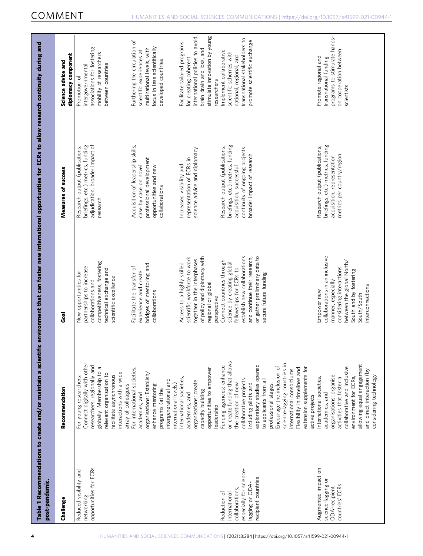<span id="page-3-0"></span>

| briefings, etc.) metrics, funding<br>adjudication, broader impact of<br>briefings, etc.) metrics, funding<br>briefings, etc.) metrics, funding<br>Acquisition of leadership skills,<br>Research output (publications,<br>continuity of ongoing projects.<br>Research output (publications,<br>Research output (publications,<br>science advice and diplomacy<br>broader impact of research<br>metrics per country/region<br>acquisition, representation<br>representation of ECRs in<br>professional development<br>Increased visibility and<br>opportunities and new<br>acquisition, successful<br>case by case on novel<br>Measures of success<br>collaborations<br>research<br>establish new collaborations<br>collaborations in an inclusive<br>or gather preliminary data to<br>of policy and diplomacy with<br>scientific workforce to work<br>and continue their research,<br>together in the interphases<br>Connect countries through<br>between the global North/<br>competitiveness, fostering<br>Access to a highly skilled<br>science by creating global<br>bridges of mentoring and<br>partnerships to increase<br>Facilitate the transfer of<br>considering interactions<br>technical exchange and<br>fellowships for ECRs to<br>South and by fostering<br>experience and create<br>New opportunities for<br>secure future funding<br>scientific excellence<br>manner, especially<br>collaborations and<br>regional or global<br>interconnections<br>Empower new<br>collaborations<br>South/South<br>perspective<br>Goal<br>or create funding that allows<br>Connect digitally with other<br>science-lagging countries in<br>exploratory studies opened<br>allowing equal engagement<br>Funding agencies: enhance<br>researchers, regionally and<br>Encourage the inclusion of<br>Б<br>collaborative and inclusive<br>extension supplements for<br>For international societies,<br>opportunities to empower<br>Flexibility in timelines and<br>international consortiums.<br>and direct interaction (by<br>globally. Membership to<br>interactions with a wide<br>organisations: Establish/<br>relevant organisation to<br>facilitate asynchronous<br>organisations: organise<br>considering technology<br>For young researchers:<br>environment for ECRs,<br>International societies,<br>International societies,<br>activities that foster a<br>collaborative projects,<br>intergenerational and<br>to applicants from all<br>organisations: create<br>including pilots and<br>international levels)<br>the creation of new<br>enhance mentoring<br>array of colleagues<br>professional stages<br>Recommendation<br>programs (at the<br>capacity building<br>academies, and<br>academies, and<br>academies, and<br>active projects<br>leadership<br>opportunities for ECRs<br>Augmented impact on<br>especially for science-<br>Reduced visibility and<br>recipient countries<br>science-lagging or<br>lagging or ODA<br>countries' ECRs<br>ODA-recipient<br>collaborations,<br>Reduction of<br>international<br>networking<br>Challenge |  |  |                                           |
|----------------------------------------------------------------------------------------------------------------------------------------------------------------------------------------------------------------------------------------------------------------------------------------------------------------------------------------------------------------------------------------------------------------------------------------------------------------------------------------------------------------------------------------------------------------------------------------------------------------------------------------------------------------------------------------------------------------------------------------------------------------------------------------------------------------------------------------------------------------------------------------------------------------------------------------------------------------------------------------------------------------------------------------------------------------------------------------------------------------------------------------------------------------------------------------------------------------------------------------------------------------------------------------------------------------------------------------------------------------------------------------------------------------------------------------------------------------------------------------------------------------------------------------------------------------------------------------------------------------------------------------------------------------------------------------------------------------------------------------------------------------------------------------------------------------------------------------------------------------------------------------------------------------------------------------------------------------------------------------------------------------------------------------------------------------------------------------------------------------------------------------------------------------------------------------------------------------------------------------------------------------------------------------------------------------------------------------------------------------------------------------------------------------------------------------------------------------------------------------------------------------------------------------------------------------------------------------------------------------------------------------------------------------------------------------------------------------------------------------------------------------------------------------------------------------------------------------------------------------------------------------------------------------------------------------------------------------------------------------------------------------------------------------------------------|--|--|-------------------------------------------|
|                                                                                                                                                                                                                                                                                                                                                                                                                                                                                                                                                                                                                                                                                                                                                                                                                                                                                                                                                                                                                                                                                                                                                                                                                                                                                                                                                                                                                                                                                                                                                                                                                                                                                                                                                                                                                                                                                                                                                                                                                                                                                                                                                                                                                                                                                                                                                                                                                                                                                                                                                                                                                                                                                                                                                                                                                                                                                                                                                                                                                                                          |  |  | diplomacy component<br>Science advice and |
|                                                                                                                                                                                                                                                                                                                                                                                                                                                                                                                                                                                                                                                                                                                                                                                                                                                                                                                                                                                                                                                                                                                                                                                                                                                                                                                                                                                                                                                                                                                                                                                                                                                                                                                                                                                                                                                                                                                                                                                                                                                                                                                                                                                                                                                                                                                                                                                                                                                                                                                                                                                                                                                                                                                                                                                                                                                                                                                                                                                                                                                          |  |  | Promotion of                              |
|                                                                                                                                                                                                                                                                                                                                                                                                                                                                                                                                                                                                                                                                                                                                                                                                                                                                                                                                                                                                                                                                                                                                                                                                                                                                                                                                                                                                                                                                                                                                                                                                                                                                                                                                                                                                                                                                                                                                                                                                                                                                                                                                                                                                                                                                                                                                                                                                                                                                                                                                                                                                                                                                                                                                                                                                                                                                                                                                                                                                                                                          |  |  |                                           |
|                                                                                                                                                                                                                                                                                                                                                                                                                                                                                                                                                                                                                                                                                                                                                                                                                                                                                                                                                                                                                                                                                                                                                                                                                                                                                                                                                                                                                                                                                                                                                                                                                                                                                                                                                                                                                                                                                                                                                                                                                                                                                                                                                                                                                                                                                                                                                                                                                                                                                                                                                                                                                                                                                                                                                                                                                                                                                                                                                                                                                                                          |  |  | intergovernmental                         |
|                                                                                                                                                                                                                                                                                                                                                                                                                                                                                                                                                                                                                                                                                                                                                                                                                                                                                                                                                                                                                                                                                                                                                                                                                                                                                                                                                                                                                                                                                                                                                                                                                                                                                                                                                                                                                                                                                                                                                                                                                                                                                                                                                                                                                                                                                                                                                                                                                                                                                                                                                                                                                                                                                                                                                                                                                                                                                                                                                                                                                                                          |  |  | associations for fostering                |
|                                                                                                                                                                                                                                                                                                                                                                                                                                                                                                                                                                                                                                                                                                                                                                                                                                                                                                                                                                                                                                                                                                                                                                                                                                                                                                                                                                                                                                                                                                                                                                                                                                                                                                                                                                                                                                                                                                                                                                                                                                                                                                                                                                                                                                                                                                                                                                                                                                                                                                                                                                                                                                                                                                                                                                                                                                                                                                                                                                                                                                                          |  |  | mobility of researchers                   |
|                                                                                                                                                                                                                                                                                                                                                                                                                                                                                                                                                                                                                                                                                                                                                                                                                                                                                                                                                                                                                                                                                                                                                                                                                                                                                                                                                                                                                                                                                                                                                                                                                                                                                                                                                                                                                                                                                                                                                                                                                                                                                                                                                                                                                                                                                                                                                                                                                                                                                                                                                                                                                                                                                                                                                                                                                                                                                                                                                                                                                                                          |  |  | between countries                         |
|                                                                                                                                                                                                                                                                                                                                                                                                                                                                                                                                                                                                                                                                                                                                                                                                                                                                                                                                                                                                                                                                                                                                                                                                                                                                                                                                                                                                                                                                                                                                                                                                                                                                                                                                                                                                                                                                                                                                                                                                                                                                                                                                                                                                                                                                                                                                                                                                                                                                                                                                                                                                                                                                                                                                                                                                                                                                                                                                                                                                                                                          |  |  |                                           |
|                                                                                                                                                                                                                                                                                                                                                                                                                                                                                                                                                                                                                                                                                                                                                                                                                                                                                                                                                                                                                                                                                                                                                                                                                                                                                                                                                                                                                                                                                                                                                                                                                                                                                                                                                                                                                                                                                                                                                                                                                                                                                                                                                                                                                                                                                                                                                                                                                                                                                                                                                                                                                                                                                                                                                                                                                                                                                                                                                                                                                                                          |  |  |                                           |
|                                                                                                                                                                                                                                                                                                                                                                                                                                                                                                                                                                                                                                                                                                                                                                                                                                                                                                                                                                                                                                                                                                                                                                                                                                                                                                                                                                                                                                                                                                                                                                                                                                                                                                                                                                                                                                                                                                                                                                                                                                                                                                                                                                                                                                                                                                                                                                                                                                                                                                                                                                                                                                                                                                                                                                                                                                                                                                                                                                                                                                                          |  |  |                                           |
|                                                                                                                                                                                                                                                                                                                                                                                                                                                                                                                                                                                                                                                                                                                                                                                                                                                                                                                                                                                                                                                                                                                                                                                                                                                                                                                                                                                                                                                                                                                                                                                                                                                                                                                                                                                                                                                                                                                                                                                                                                                                                                                                                                                                                                                                                                                                                                                                                                                                                                                                                                                                                                                                                                                                                                                                                                                                                                                                                                                                                                                          |  |  | Furthering the circulation of             |
|                                                                                                                                                                                                                                                                                                                                                                                                                                                                                                                                                                                                                                                                                                                                                                                                                                                                                                                                                                                                                                                                                                                                                                                                                                                                                                                                                                                                                                                                                                                                                                                                                                                                                                                                                                                                                                                                                                                                                                                                                                                                                                                                                                                                                                                                                                                                                                                                                                                                                                                                                                                                                                                                                                                                                                                                                                                                                                                                                                                                                                                          |  |  |                                           |
|                                                                                                                                                                                                                                                                                                                                                                                                                                                                                                                                                                                                                                                                                                                                                                                                                                                                                                                                                                                                                                                                                                                                                                                                                                                                                                                                                                                                                                                                                                                                                                                                                                                                                                                                                                                                                                                                                                                                                                                                                                                                                                                                                                                                                                                                                                                                                                                                                                                                                                                                                                                                                                                                                                                                                                                                                                                                                                                                                                                                                                                          |  |  | scientific experiences at                 |
|                                                                                                                                                                                                                                                                                                                                                                                                                                                                                                                                                                                                                                                                                                                                                                                                                                                                                                                                                                                                                                                                                                                                                                                                                                                                                                                                                                                                                                                                                                                                                                                                                                                                                                                                                                                                                                                                                                                                                                                                                                                                                                                                                                                                                                                                                                                                                                                                                                                                                                                                                                                                                                                                                                                                                                                                                                                                                                                                                                                                                                                          |  |  | multinational levels, with                |
|                                                                                                                                                                                                                                                                                                                                                                                                                                                                                                                                                                                                                                                                                                                                                                                                                                                                                                                                                                                                                                                                                                                                                                                                                                                                                                                                                                                                                                                                                                                                                                                                                                                                                                                                                                                                                                                                                                                                                                                                                                                                                                                                                                                                                                                                                                                                                                                                                                                                                                                                                                                                                                                                                                                                                                                                                                                                                                                                                                                                                                                          |  |  | focus in less scientifically              |
|                                                                                                                                                                                                                                                                                                                                                                                                                                                                                                                                                                                                                                                                                                                                                                                                                                                                                                                                                                                                                                                                                                                                                                                                                                                                                                                                                                                                                                                                                                                                                                                                                                                                                                                                                                                                                                                                                                                                                                                                                                                                                                                                                                                                                                                                                                                                                                                                                                                                                                                                                                                                                                                                                                                                                                                                                                                                                                                                                                                                                                                          |  |  | developed countries                       |
|                                                                                                                                                                                                                                                                                                                                                                                                                                                                                                                                                                                                                                                                                                                                                                                                                                                                                                                                                                                                                                                                                                                                                                                                                                                                                                                                                                                                                                                                                                                                                                                                                                                                                                                                                                                                                                                                                                                                                                                                                                                                                                                                                                                                                                                                                                                                                                                                                                                                                                                                                                                                                                                                                                                                                                                                                                                                                                                                                                                                                                                          |  |  |                                           |
|                                                                                                                                                                                                                                                                                                                                                                                                                                                                                                                                                                                                                                                                                                                                                                                                                                                                                                                                                                                                                                                                                                                                                                                                                                                                                                                                                                                                                                                                                                                                                                                                                                                                                                                                                                                                                                                                                                                                                                                                                                                                                                                                                                                                                                                                                                                                                                                                                                                                                                                                                                                                                                                                                                                                                                                                                                                                                                                                                                                                                                                          |  |  |                                           |
|                                                                                                                                                                                                                                                                                                                                                                                                                                                                                                                                                                                                                                                                                                                                                                                                                                                                                                                                                                                                                                                                                                                                                                                                                                                                                                                                                                                                                                                                                                                                                                                                                                                                                                                                                                                                                                                                                                                                                                                                                                                                                                                                                                                                                                                                                                                                                                                                                                                                                                                                                                                                                                                                                                                                                                                                                                                                                                                                                                                                                                                          |  |  | Facilitate tailored programs              |
|                                                                                                                                                                                                                                                                                                                                                                                                                                                                                                                                                                                                                                                                                                                                                                                                                                                                                                                                                                                                                                                                                                                                                                                                                                                                                                                                                                                                                                                                                                                                                                                                                                                                                                                                                                                                                                                                                                                                                                                                                                                                                                                                                                                                                                                                                                                                                                                                                                                                                                                                                                                                                                                                                                                                                                                                                                                                                                                                                                                                                                                          |  |  | for creating coherent                     |
|                                                                                                                                                                                                                                                                                                                                                                                                                                                                                                                                                                                                                                                                                                                                                                                                                                                                                                                                                                                                                                                                                                                                                                                                                                                                                                                                                                                                                                                                                                                                                                                                                                                                                                                                                                                                                                                                                                                                                                                                                                                                                                                                                                                                                                                                                                                                                                                                                                                                                                                                                                                                                                                                                                                                                                                                                                                                                                                                                                                                                                                          |  |  | international policies to avoid           |
|                                                                                                                                                                                                                                                                                                                                                                                                                                                                                                                                                                                                                                                                                                                                                                                                                                                                                                                                                                                                                                                                                                                                                                                                                                                                                                                                                                                                                                                                                                                                                                                                                                                                                                                                                                                                                                                                                                                                                                                                                                                                                                                                                                                                                                                                                                                                                                                                                                                                                                                                                                                                                                                                                                                                                                                                                                                                                                                                                                                                                                                          |  |  | brain drain and loss, and                 |
|                                                                                                                                                                                                                                                                                                                                                                                                                                                                                                                                                                                                                                                                                                                                                                                                                                                                                                                                                                                                                                                                                                                                                                                                                                                                                                                                                                                                                                                                                                                                                                                                                                                                                                                                                                                                                                                                                                                                                                                                                                                                                                                                                                                                                                                                                                                                                                                                                                                                                                                                                                                                                                                                                                                                                                                                                                                                                                                                                                                                                                                          |  |  | stimulate innovation by young             |
|                                                                                                                                                                                                                                                                                                                                                                                                                                                                                                                                                                                                                                                                                                                                                                                                                                                                                                                                                                                                                                                                                                                                                                                                                                                                                                                                                                                                                                                                                                                                                                                                                                                                                                                                                                                                                                                                                                                                                                                                                                                                                                                                                                                                                                                                                                                                                                                                                                                                                                                                                                                                                                                                                                                                                                                                                                                                                                                                                                                                                                                          |  |  | researchers                               |
|                                                                                                                                                                                                                                                                                                                                                                                                                                                                                                                                                                                                                                                                                                                                                                                                                                                                                                                                                                                                                                                                                                                                                                                                                                                                                                                                                                                                                                                                                                                                                                                                                                                                                                                                                                                                                                                                                                                                                                                                                                                                                                                                                                                                                                                                                                                                                                                                                                                                                                                                                                                                                                                                                                                                                                                                                                                                                                                                                                                                                                                          |  |  | Implement collaborative                   |
|                                                                                                                                                                                                                                                                                                                                                                                                                                                                                                                                                                                                                                                                                                                                                                                                                                                                                                                                                                                                                                                                                                                                                                                                                                                                                                                                                                                                                                                                                                                                                                                                                                                                                                                                                                                                                                                                                                                                                                                                                                                                                                                                                                                                                                                                                                                                                                                                                                                                                                                                                                                                                                                                                                                                                                                                                                                                                                                                                                                                                                                          |  |  |                                           |
|                                                                                                                                                                                                                                                                                                                                                                                                                                                                                                                                                                                                                                                                                                                                                                                                                                                                                                                                                                                                                                                                                                                                                                                                                                                                                                                                                                                                                                                                                                                                                                                                                                                                                                                                                                                                                                                                                                                                                                                                                                                                                                                                                                                                                                                                                                                                                                                                                                                                                                                                                                                                                                                                                                                                                                                                                                                                                                                                                                                                                                                          |  |  | scientific schemes with                   |
|                                                                                                                                                                                                                                                                                                                                                                                                                                                                                                                                                                                                                                                                                                                                                                                                                                                                                                                                                                                                                                                                                                                                                                                                                                                                                                                                                                                                                                                                                                                                                                                                                                                                                                                                                                                                                                                                                                                                                                                                                                                                                                                                                                                                                                                                                                                                                                                                                                                                                                                                                                                                                                                                                                                                                                                                                                                                                                                                                                                                                                                          |  |  | national, regional, and                   |
|                                                                                                                                                                                                                                                                                                                                                                                                                                                                                                                                                                                                                                                                                                                                                                                                                                                                                                                                                                                                                                                                                                                                                                                                                                                                                                                                                                                                                                                                                                                                                                                                                                                                                                                                                                                                                                                                                                                                                                                                                                                                                                                                                                                                                                                                                                                                                                                                                                                                                                                                                                                                                                                                                                                                                                                                                                                                                                                                                                                                                                                          |  |  | transnational stakeholders to             |
|                                                                                                                                                                                                                                                                                                                                                                                                                                                                                                                                                                                                                                                                                                                                                                                                                                                                                                                                                                                                                                                                                                                                                                                                                                                                                                                                                                                                                                                                                                                                                                                                                                                                                                                                                                                                                                                                                                                                                                                                                                                                                                                                                                                                                                                                                                                                                                                                                                                                                                                                                                                                                                                                                                                                                                                                                                                                                                                                                                                                                                                          |  |  | promote scientific exchange               |
|                                                                                                                                                                                                                                                                                                                                                                                                                                                                                                                                                                                                                                                                                                                                                                                                                                                                                                                                                                                                                                                                                                                                                                                                                                                                                                                                                                                                                                                                                                                                                                                                                                                                                                                                                                                                                                                                                                                                                                                                                                                                                                                                                                                                                                                                                                                                                                                                                                                                                                                                                                                                                                                                                                                                                                                                                                                                                                                                                                                                                                                          |  |  |                                           |
|                                                                                                                                                                                                                                                                                                                                                                                                                                                                                                                                                                                                                                                                                                                                                                                                                                                                                                                                                                                                                                                                                                                                                                                                                                                                                                                                                                                                                                                                                                                                                                                                                                                                                                                                                                                                                                                                                                                                                                                                                                                                                                                                                                                                                                                                                                                                                                                                                                                                                                                                                                                                                                                                                                                                                                                                                                                                                                                                                                                                                                                          |  |  |                                           |
|                                                                                                                                                                                                                                                                                                                                                                                                                                                                                                                                                                                                                                                                                                                                                                                                                                                                                                                                                                                                                                                                                                                                                                                                                                                                                                                                                                                                                                                                                                                                                                                                                                                                                                                                                                                                                                                                                                                                                                                                                                                                                                                                                                                                                                                                                                                                                                                                                                                                                                                                                                                                                                                                                                                                                                                                                                                                                                                                                                                                                                                          |  |  |                                           |
|                                                                                                                                                                                                                                                                                                                                                                                                                                                                                                                                                                                                                                                                                                                                                                                                                                                                                                                                                                                                                                                                                                                                                                                                                                                                                                                                                                                                                                                                                                                                                                                                                                                                                                                                                                                                                                                                                                                                                                                                                                                                                                                                                                                                                                                                                                                                                                                                                                                                                                                                                                                                                                                                                                                                                                                                                                                                                                                                                                                                                                                          |  |  |                                           |
|                                                                                                                                                                                                                                                                                                                                                                                                                                                                                                                                                                                                                                                                                                                                                                                                                                                                                                                                                                                                                                                                                                                                                                                                                                                                                                                                                                                                                                                                                                                                                                                                                                                                                                                                                                                                                                                                                                                                                                                                                                                                                                                                                                                                                                                                                                                                                                                                                                                                                                                                                                                                                                                                                                                                                                                                                                                                                                                                                                                                                                                          |  |  |                                           |
|                                                                                                                                                                                                                                                                                                                                                                                                                                                                                                                                                                                                                                                                                                                                                                                                                                                                                                                                                                                                                                                                                                                                                                                                                                                                                                                                                                                                                                                                                                                                                                                                                                                                                                                                                                                                                                                                                                                                                                                                                                                                                                                                                                                                                                                                                                                                                                                                                                                                                                                                                                                                                                                                                                                                                                                                                                                                                                                                                                                                                                                          |  |  |                                           |
|                                                                                                                                                                                                                                                                                                                                                                                                                                                                                                                                                                                                                                                                                                                                                                                                                                                                                                                                                                                                                                                                                                                                                                                                                                                                                                                                                                                                                                                                                                                                                                                                                                                                                                                                                                                                                                                                                                                                                                                                                                                                                                                                                                                                                                                                                                                                                                                                                                                                                                                                                                                                                                                                                                                                                                                                                                                                                                                                                                                                                                                          |  |  |                                           |
|                                                                                                                                                                                                                                                                                                                                                                                                                                                                                                                                                                                                                                                                                                                                                                                                                                                                                                                                                                                                                                                                                                                                                                                                                                                                                                                                                                                                                                                                                                                                                                                                                                                                                                                                                                                                                                                                                                                                                                                                                                                                                                                                                                                                                                                                                                                                                                                                                                                                                                                                                                                                                                                                                                                                                                                                                                                                                                                                                                                                                                                          |  |  |                                           |
|                                                                                                                                                                                                                                                                                                                                                                                                                                                                                                                                                                                                                                                                                                                                                                                                                                                                                                                                                                                                                                                                                                                                                                                                                                                                                                                                                                                                                                                                                                                                                                                                                                                                                                                                                                                                                                                                                                                                                                                                                                                                                                                                                                                                                                                                                                                                                                                                                                                                                                                                                                                                                                                                                                                                                                                                                                                                                                                                                                                                                                                          |  |  |                                           |
|                                                                                                                                                                                                                                                                                                                                                                                                                                                                                                                                                                                                                                                                                                                                                                                                                                                                                                                                                                                                                                                                                                                                                                                                                                                                                                                                                                                                                                                                                                                                                                                                                                                                                                                                                                                                                                                                                                                                                                                                                                                                                                                                                                                                                                                                                                                                                                                                                                                                                                                                                                                                                                                                                                                                                                                                                                                                                                                                                                                                                                                          |  |  |                                           |
|                                                                                                                                                                                                                                                                                                                                                                                                                                                                                                                                                                                                                                                                                                                                                                                                                                                                                                                                                                                                                                                                                                                                                                                                                                                                                                                                                                                                                                                                                                                                                                                                                                                                                                                                                                                                                                                                                                                                                                                                                                                                                                                                                                                                                                                                                                                                                                                                                                                                                                                                                                                                                                                                                                                                                                                                                                                                                                                                                                                                                                                          |  |  | Promote regional and                      |
|                                                                                                                                                                                                                                                                                                                                                                                                                                                                                                                                                                                                                                                                                                                                                                                                                                                                                                                                                                                                                                                                                                                                                                                                                                                                                                                                                                                                                                                                                                                                                                                                                                                                                                                                                                                                                                                                                                                                                                                                                                                                                                                                                                                                                                                                                                                                                                                                                                                                                                                                                                                                                                                                                                                                                                                                                                                                                                                                                                                                                                                          |  |  | transnational funding                     |
|                                                                                                                                                                                                                                                                                                                                                                                                                                                                                                                                                                                                                                                                                                                                                                                                                                                                                                                                                                                                                                                                                                                                                                                                                                                                                                                                                                                                                                                                                                                                                                                                                                                                                                                                                                                                                                                                                                                                                                                                                                                                                                                                                                                                                                                                                                                                                                                                                                                                                                                                                                                                                                                                                                                                                                                                                                                                                                                                                                                                                                                          |  |  | programs to stimulate hands-              |
|                                                                                                                                                                                                                                                                                                                                                                                                                                                                                                                                                                                                                                                                                                                                                                                                                                                                                                                                                                                                                                                                                                                                                                                                                                                                                                                                                                                                                                                                                                                                                                                                                                                                                                                                                                                                                                                                                                                                                                                                                                                                                                                                                                                                                                                                                                                                                                                                                                                                                                                                                                                                                                                                                                                                                                                                                                                                                                                                                                                                                                                          |  |  | on cooperation between                    |
|                                                                                                                                                                                                                                                                                                                                                                                                                                                                                                                                                                                                                                                                                                                                                                                                                                                                                                                                                                                                                                                                                                                                                                                                                                                                                                                                                                                                                                                                                                                                                                                                                                                                                                                                                                                                                                                                                                                                                                                                                                                                                                                                                                                                                                                                                                                                                                                                                                                                                                                                                                                                                                                                                                                                                                                                                                                                                                                                                                                                                                                          |  |  | scientists                                |
|                                                                                                                                                                                                                                                                                                                                                                                                                                                                                                                                                                                                                                                                                                                                                                                                                                                                                                                                                                                                                                                                                                                                                                                                                                                                                                                                                                                                                                                                                                                                                                                                                                                                                                                                                                                                                                                                                                                                                                                                                                                                                                                                                                                                                                                                                                                                                                                                                                                                                                                                                                                                                                                                                                                                                                                                                                                                                                                                                                                                                                                          |  |  |                                           |
|                                                                                                                                                                                                                                                                                                                                                                                                                                                                                                                                                                                                                                                                                                                                                                                                                                                                                                                                                                                                                                                                                                                                                                                                                                                                                                                                                                                                                                                                                                                                                                                                                                                                                                                                                                                                                                                                                                                                                                                                                                                                                                                                                                                                                                                                                                                                                                                                                                                                                                                                                                                                                                                                                                                                                                                                                                                                                                                                                                                                                                                          |  |  |                                           |
|                                                                                                                                                                                                                                                                                                                                                                                                                                                                                                                                                                                                                                                                                                                                                                                                                                                                                                                                                                                                                                                                                                                                                                                                                                                                                                                                                                                                                                                                                                                                                                                                                                                                                                                                                                                                                                                                                                                                                                                                                                                                                                                                                                                                                                                                                                                                                                                                                                                                                                                                                                                                                                                                                                                                                                                                                                                                                                                                                                                                                                                          |  |  |                                           |
|                                                                                                                                                                                                                                                                                                                                                                                                                                                                                                                                                                                                                                                                                                                                                                                                                                                                                                                                                                                                                                                                                                                                                                                                                                                                                                                                                                                                                                                                                                                                                                                                                                                                                                                                                                                                                                                                                                                                                                                                                                                                                                                                                                                                                                                                                                                                                                                                                                                                                                                                                                                                                                                                                                                                                                                                                                                                                                                                                                                                                                                          |  |  |                                           |
|                                                                                                                                                                                                                                                                                                                                                                                                                                                                                                                                                                                                                                                                                                                                                                                                                                                                                                                                                                                                                                                                                                                                                                                                                                                                                                                                                                                                                                                                                                                                                                                                                                                                                                                                                                                                                                                                                                                                                                                                                                                                                                                                                                                                                                                                                                                                                                                                                                                                                                                                                                                                                                                                                                                                                                                                                                                                                                                                                                                                                                                          |  |  |                                           |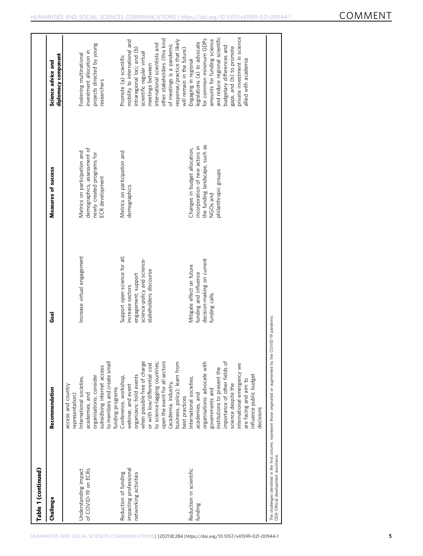| Table 1 (continued)                                                    |                                                                                                                                                                                                                                                                                      |                                                                                                                                   |                                                                                                                                                   |                                                                                                                                                                                                                                                                                                       |
|------------------------------------------------------------------------|--------------------------------------------------------------------------------------------------------------------------------------------------------------------------------------------------------------------------------------------------------------------------------------|-----------------------------------------------------------------------------------------------------------------------------------|---------------------------------------------------------------------------------------------------------------------------------------------------|-------------------------------------------------------------------------------------------------------------------------------------------------------------------------------------------------------------------------------------------------------------------------------------------------------|
| Challenge                                                              | Recommendation                                                                                                                                                                                                                                                                       | Goal                                                                                                                              | Measures of success                                                                                                                               | diplomacy component<br>Science advice and                                                                                                                                                                                                                                                             |
| of COVID-19 on ECRs<br>Understanding impact                            | to members and create smal<br>subsidising internet access<br>organisations: consider<br>International societies,<br>access and country<br>funding programs<br>academies, and<br>representation)                                                                                      | Increase virtual engagement                                                                                                       | demographics, assessment of<br>Metrics on participation and<br>newly created programs for<br>ECR development                                      | projects directed by young<br>investment allocation in<br>Fostering multinational<br>researchers                                                                                                                                                                                                      |
| impacting professiona<br>Reduction of funding<br>networking activities | when possible free of charge<br>open the event for all sectors<br>to science-lagging countries<br>business, policy); learn from<br>or with low/differential cost<br>organizers: hold events<br>Conference, workshop,<br>(academia, industry,<br>webinar, and event<br>best practices | Support open science for all;<br>science-policy and science-<br>stakeholders discourse<br>engagement; support<br>increase sectors | Metrics on participation and<br>demographics                                                                                                      | other stakeholders (this kind<br>response/practice that likely<br>mobility to international and<br>of meetings is a pandemic<br>international scientists and<br>intraregional loci; and (b)<br>will remain in the future)<br>scientific regular virtual<br>Promote (a) scientific<br>meetings between |
| Reduction in scientific<br>funding                                     | organisations: advocate with<br>importance of other fields of<br>international emergency we<br>institutions to present the<br>influence public budget<br>International societies,<br>are facing and aim to<br>science despite the<br>governments and<br>academies, and<br>decisions  | decision-making on current<br>Mitigate effect on future<br>funding and influence<br>funding calls.                                | the funding landscape, such as<br>incorporation of new actors in<br>Changes in budget allocation,<br>philanthropic groups<br>NGO <sub>s</sub> and | and reduce regional scientific<br>private investment in science<br>or common minimum GDPs<br>amounts for funding science<br>legislations (a) to advocate<br>budgetary differences and<br>gaps, and (b) to promote<br>allied with academia<br>Engaging in regional                                     |
| ODA Official development assistance.                                   | The challenges identified in the first column, represent those originated or augmented by the C                                                                                                                                                                                      | :OVID-19 pandemic.                                                                                                                |                                                                                                                                                   |                                                                                                                                                                                                                                                                                                       |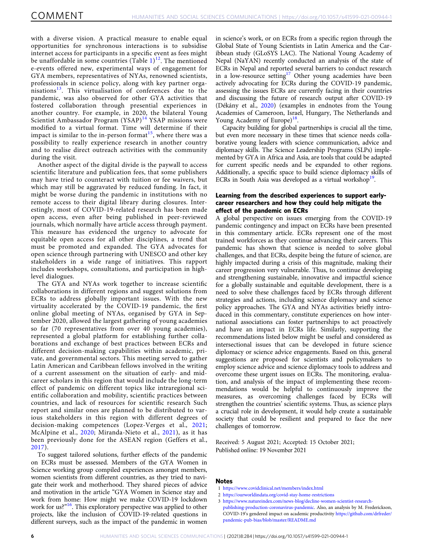<span id="page-5-0"></span>with a diverse vision. A practical measure to enable equal opportunities for synchronous interactions is to subsidise internet access for participants in a specific event as fees might be unaffordable in some countries (Table  $1$ )<sup>[12](#page-6-0)</sup>. The mentioned e-events offered new, experimental ways of engagement for GYA members, representatives of NYAs, renowned scientists, professionals in science policy, along with key partner organisations $13$ . This virtualisation of conferences due to the pandemic, was also observed for other GYA activities that fostered collaboration through presential experiences in another country. For example, in 2020, the bilateral Young Scientist Ambassador Program (YSAP)<sup>[14](#page-6-0)</sup> YSAP missions were modified to a virtual format. Time will determine if their impact is similar to the in-person format<sup>[15](#page-6-0)</sup>, where there was a possibility to really experience research in another country and to realise direct outreach activities with the community during the visit.

Another aspect of the digital divide is the paywall to access scientific literature and publication fees, that some publishers may have tried to counteract with tuition or fee waivers, but which may still be aggravated by reduced funding. In fact, it might be worse during the pandemic in institutions with no remote access to their digital library during closures. Interestingly, most of COVID-19-related research has been made open access, even after being published in peer-reviewed journals, which normally have article access through payment. This measure has evidenced the urgency to advocate for equitable open access for all other disciplines, a trend that must be promoted and expanded. The GYA advocates for open science through partnering with UNESCO and other key stakeholders in a wide range of initiatives. This rapport includes workshops, consultations, and participation in highlevel dialogues.

The GYA and NYAs work together to increase scientific collaborations in different regions and suggest solutions from ECRs to address globally important issues. With the new virtuality accelerated by the COVID-19 pandemic, the first online global meeting of NYAs, organised by GYA in September 2020, allowed the largest gathering of young academies so far (70 representatives from over 40 young academies), represented a global platform for establishing further collaborations and exchange of best practices between ECRs and different decision-making capabilities within academic, private, and governmental sectors. This meeting served to gather Latin American and Caribbean fellows involved in the writing of a current assessment on the situation of early- and midcareer scholars in this region that would include the long-term effect of pandemic on different topics like intraregional scientific collaboration and mobility, scientific practices between countries, and lack of resources for scientific research Such report and similar ones are planned to be distributed to various stakeholders in this region with different degrees of decision-making competences (Lopez-Verges et al., [2021;](#page-6-0) McAlpine et al., [2020](#page-6-0); Miranda-Nieto et al., [2021\)](#page-6-0), as it has been previously done for the ASEAN region (Geffers et al., [2017\)](#page-6-0).

To suggest tailored solutions, further effects of the pandemic on ECRs must be assessed. Members of the GYA Women in Science working group compiled experiences amongst members, women scientists from different countries, as they tried to navigate their work and motherhood. They shared pieces of advice and motivation in the article "GYA Women in Science stay and work from home: How might we make COVID-19 lockdown work for us?"<sup>[16](#page-6-0)</sup>. This exploratory perspective was applied to other projects, like the inclusion of COVID-19-related questions in different surveys, such as the impact of the pandemic in women

in science's work, or on ECRs from a specific region through the Global State of Young Scientists in Latin America and the Caribbean study (GLoSYS LAC). The National Young Academy of Nepal (NaYAN) recently conducted an analysis of the state of ECRs in Nepal and reported several barriers to conduct research in a low-resource setting<sup>[17](#page-6-0)</sup> Other young academies have been actively advocating for ECRs during the COVID-19 pandemic, assessing the issues ECRs are currently facing in their countries and discussing the future of research output after COVID-19 (Dékány et al., [2020](#page-6-0)) (examples in endnotes from the Young Academies of Cameroon, Israel, Hungary, The Netherlands and Young Academy of Europe)<sup>[18](#page-6-0)</sup>.

Capacity building for global partnerships is crucial all the time, but even more necessary in these times that science needs collaborative young leaders with science communication, advice and diplomacy skills. The Science Leadership Programs (SLPs) implemented by GYA in Africa and Asia, are tools that could be adapted for current specific needs and be expanded to other regions. Additionally, a specific space to build science diplomacy skills of ECRs in South Asia was developed as a virtual workshop<sup>19</sup>.

# Learning from the described experiences to support earlycareer researchers and how they could help mitigate the effect of the pandemic on ECRs

A global perspective on issues emerging from the COVID-19 pandemic contingency and impact on ECRs have been presented in this commentary article. ECRs represent one of the most trained workforces as they continue advancing their careers. This pandemic has shown that science is needed to solve global challenges, and that ECRs, despite being the future of science, are highly impacted during a crisis of this magnitude, making their career progression very vulnerable. Thus, to continue developing and strengthening sustainable, innovative and impactful science for a globally sustainable and equitable development, there is a need to solve these challenges faced by ECRs through different strategies and actions, including science diplomacy and science policy approaches. The GYA and NYAs activities briefly introduced in this commentary, constitute experiences on how international associations can foster partnerships to act proactively and have an impact in ECRs life. Similarly, supporting the recommendations listed below might be useful and considered as intersectional issues that can be developed in future science diplomacy or science advice engagements. Based on this, general suggestions are proposed for scientists and policymakers to employ science advice and science diplomacy tools to address and overcome these urgent issues on ECRs. The monitoring, evaluation, and analysis of the impact of implementing these recommendations would be helpful to continuously improve the measures, as overcoming challenges faced by ECRs will strengthen the countries' scientific systems. Thus, as science plays a crucial role in development, it would help create a sustainable society that could be resilient and prepared to face the new challenges of tomorrow.

Received: 5 August 2021; Accepted: 15 October 2021; Published online: 19 November 2021

# Notes

- 1 <https://www.covidclinical.net/members/index.html>
- 2 <https://ourworldindata.org/covid-stay-home-restrictions>
- 3 [https://www.natureindex.com/news-blog/decline-women-scientist-research](https://www.natureindex.com/news-blog/decline-women-scientist-research-publishing-production-coronavirus-pandemic)[publishing-production-coronavirus-pandemic](https://www.natureindex.com/news-blog/decline-women-scientist-research-publishing-production-coronavirus-pandemic). Also, an analysis by M. Frederickson, COVID-19's gendered impact on academic productivity [https://github.com/drfreder/](https://github.com/drfreder/pandemic-pub-bias/blob/master/README.md) [pandemic-pub-bias/blob/master/README.md](https://github.com/drfreder/pandemic-pub-bias/blob/master/README.md)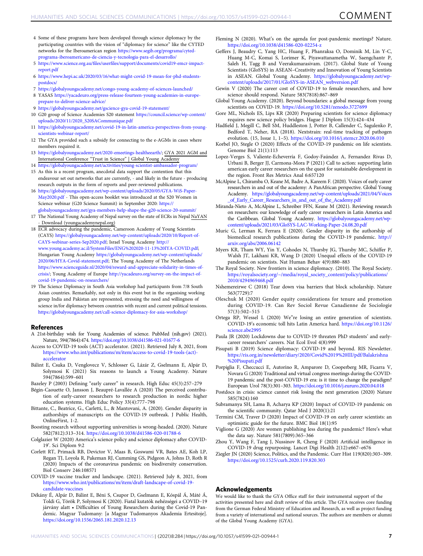- <span id="page-6-0"></span>4 Some of these programs have been developed through science diplomacy by the participating countries with the vision of "diplomacy for science" like the CYTED networks for the Iberoamerican region [https://www.segib.org/programa/cyted](https://www.segib.org/programa/cyted-programa-iberoamericano-de-ciencia-y-tecnologia-para-el-desarrollo/)[programa-iberoamericano-de-ciencia-y-tecnologia-para-el-desarrollo/](https://www.segib.org/programa/cyted-programa-iberoamericano-de-ciencia-y-tecnologia-para-el-desarrollo/)
- 5 https://www.science.org.au/files/userfi[les/support/documents/covid19-emcr-impact](https://www.science.org.au/files/userfiles/support/documents/covid19-emcr-impact-report.pdf)[report.pdf](https://www.science.org.au/files/userfiles/support/documents/covid19-emcr-impact-report.pdf)
- 6 [https://www.hepi.ac.uk/2020/03/16/what-might-covid-19-mean-for-phd-students](https://www.hepi.ac.uk/2020/03/16/what-might-covid-19-mean-for-phd-students-postdocs/)[postdocs/](https://www.hepi.ac.uk/2020/03/16/what-might-covid-19-mean-for-phd-students-postdocs/)
- 7 <https://globalyoungacademy.net/congo-young-academy-of-sciences-launched/>
- 8 YASAS [https://yacadeuro.org/press-release-fourteen-young-academies-in-europe](https://yacadeuro.org/press-release-fourteen-young-academies-in-europe-prepare-to-deliver-science-advice/)[prepare-to-deliver-science-advice/](https://yacadeuro.org/press-release-fourteen-young-academies-in-europe-prepare-to-deliver-science-advice/)
- 9 <https://globalyoungacademy.net/gscience-gya-covid-19-statement/>
- 10 G20 group of Science Academies S20 statement [https://council.science/wp-content/](https://council.science/wp-content/uploads/2020/11/2020_S20SACommunique.pdf) [uploads/2020/11/2020\\_S20SACommunique.pdf](https://council.science/wp-content/uploads/2020/11/2020_S20SACommunique.pdf)
- 11 [https://globalyoungacademy.net/covid-19-in-latin-america-perspectives-from-young](https://globalyoungacademy.net/covid-19-in-latin-america-perspectives-from-young-scientists-webinar-report/)[scientists-webinar-report/](https://globalyoungacademy.net/covid-19-in-latin-america-perspectives-from-young-scientists-webinar-report/)
- 12 The GYA provided such a subsidy for connecting to the e-AGMs in cases where members required it.
- 13 [https://globalyoungacademy.net/2020-emeetings-healtheearth/;](https://globalyoungacademy.net/2020-emeetings-healtheearth/) GYA 2021 AGM and International Conference "Trust in Science" | Global Young Academy
- 14 <https://globalyoungacademy.net/activities/young-scientist-ambassador-program/>
- 15 As this is a recent program, anecdotal data support the contention that this endeavour set out networks that are currently, - and likely in the future - producing research outputs in the form of reports and peer-reviewed publications.
- 16 [https://globalyoungacademy.net/wp-content/uploads/2020/05/GYA-WiS-Paper-](https://globalyoungacademy.net/wp-content/uploads/2020/05/GYA-WiS-Paper-May2020.pdf)[May2020.pdf](https://globalyoungacademy.net/wp-content/uploads/2020/05/GYA-WiS-Paper-May2020.pdf) - This open-access booklet was introduced at the S20 Women in Science webinar (G20 Science Summit) in September 2020: [https://](https://globalyoungacademy.net/gya-members-help-shape-the-g20-science-20-summit/) [globalyoungacademy.net/gya-members-help-shape-the-g20-science-20-summit/](https://globalyoungacademy.net/gya-members-help-shape-the-g20-science-20-summit/)
- 17 The National Young Academy of Nepal survey on the state of ECRs in Nepal NaYAN Download (youngacademynepal.org)
- 18 ECR advocacy during the pandemic, Cameroon Academy of Young Scientists (CAYS) [https://globalyoungacademy.net/wp-content/uploads/2020/10/Report-of-](https://globalyoungacademy.net/wp-content/uploads/2020/10/Report-of-CAYS-webinar-series-Sep2020.pdf)[CAYS-webinar-series-Sep2020.pdf;](https://globalyoungacademy.net/wp-content/uploads/2020/10/Report-of-CAYS-webinar-series-Sep2020.pdf) Israel Young Academy [http://](http://www.young.academy.ac.il/SystemFiles/ENG%202020-11-13%20IYA-COVID.pdf) [www.young.academy.ac.il/SystemFiles/ENG%202020-11-13%20IYA-COVID.pdf;](http://www.young.academy.ac.il/SystemFiles/ENG%202020-11-13%20IYA-COVID.pdf) Hungarian Young Academy [https://globalyoungacademy.net/wp-content/uploads/](https://globalyoungacademy.net/wp-content/uploads/2020/06/HYA-Covid-statement.pdf) [2020/06/HYA-Covid-statement.pdf;](https://globalyoungacademy.net/wp-content/uploads/2020/06/HYA-Covid-statement.pdf) The Young Academy of The Netherlands [https://www.scienceguide.nl/2020/04/reward-and-appreciate-solidarity-in-times-of](https://www.scienceguide.nl/2020/04/reward-and-appreciate-solidarity-in-times-of-crisis/)[crisis/](https://www.scienceguide.nl/2020/04/reward-and-appreciate-solidarity-in-times-of-crisis/); Young Academy of Europe [http://yacadeuro.org/survey-on-the-impact-of](http://yacadeuro.org/survey-on-the-impact-of-covid-19-pandemic-on-researchers/)[covid-19-pandemic-on-researchers/](http://yacadeuro.org/survey-on-the-impact-of-covid-19-pandemic-on-researchers/)
- 19 The Science Diplomacy in South Asia workshop had participants from 7/8 South Asian countries. Remarkably, not only in this event but in the organising working group India and Pakistan are represented, stressing the need and willingness of science in/for diplomacy between countries with recent and current political tensions. <https://globalyoungacademy.net/call-science-diplomacy-for-asia-workshop/>

#### References

- A 21st-birthday wish for Young Academies of science. PubMed (nih.gov) (2021). Nature, 594(7864):474. <https://doi.org/10.1038/d41586-021-01677-6>
- Access to COVID-19 tools (ACT) accelerator. (2021). Retrieved July 8, 2021, from [https://www.who.int/publications/m/item/access-to-covid-19-tools-\(act\)](https://www.who.int/publications/m/item/access-to-covid-19-tools-(act)-accelerator) [accelerator](https://www.who.int/publications/m/item/access-to-covid-19-tools-(act)-accelerator)
- Bálint E, Csuka D, Venglovecz V, Schlosser G, Lázár Z, Gselmann E, Alpár D, Solymosi K (2021) Six reasons to launch a Young Academy. Nature 594(7864):599–601
- Bazeley P (2003) Defining "early career" in research. High Educ 45(3):257–279
- Bégin-Caouette O, Jansson J, Beaupré-Lavallée A (2020) The perceived contribution of early-career researchers to research production in nordic higher education systems. High Educ Policy 33(4):777–798
- Bittante, C., Beatrice, G., Carletti, L., & Mantovani, A. (2020). Gender disparity in authorships of manuscripts on the COVID-19 outbreak. J Public Health, OnlineFirst, 1-2.
- Boosting research without supporting universities is wrong-headed. (2020). Nature 582(7812):313–314. <https://doi.org/10.1038/d41586-020-01788-6>
- Colglazier W (2020) America's science policy and science diplomacy after COVID-19'. Sci Diplom 9:2
- Corlett RT, Primack RB, Devictor V, Maas B, Goswami VR, Bates AE, Koh LP, Regan TJ, Loyola R, Pakeman RJ, Cumming GS, Pidgeon A, Johns D, Roth R (2020) Impacts of the coronavirus pandemic on biodiversity conservation. Biol Conserv 246:108571
- COVID-19 vaccine tracker and landscape. (2021). Retrieved July 8, 2021, from [https://www.who.int/publications/m/item/draft-landscape-of-covid-19](https://www.who.int/publications/m/item/draft-landscape-of-covid-19-candidate-vaccines) [candidate-vaccines](https://www.who.int/publications/m/item/draft-landscape-of-covid-19-candidate-vaccines)
- Dékány É, Alpár D, Bálint E, Béni S, Csupor D, Gselmann E, Kóspál Á, Máté Á, Toldi G, Török P, Solymosi K (2020). Fiatal kutatók nehézségei a COVID–19 járvány alatt • Difficulties of Young Researchers during the Covid-19 Pandemic. Magyar Tudomany: [a Magyar Tudomanyos Akademia Ertesitoje]. <https://doi.org/10.1556/2065.181.2020.12.13>
- Fleming N (2020). What's on the agenda for post-pandemic meetings? Nature. <https://doi.org/10.1038/d41586-020-02254-z>
- Geffers J, Beaudry C, Yang HC, Huang F, Phanraksa O, Dominik M, Lin Y-C, Huang M-C, Komai S, Lorimer K, Piyawattanametha W, Saengchantr P, Saleh H, Tagg B and Veerakumarasivam. (2017). Global State of Young Scientists (GloSYS) in ASEAN–Creativity and Innovation of Young Scientists in ASEAN. Global Young Academy. [https://globalyoungacademy.net/wp](https://globalyoungacademy.net/wp-content/uploads/2017/01/GloSYS-in-ASEAN_webversion.pdf)[content/uploads/2017/01/GloSYS-in-ASEAN\\_webversion.pdf](https://globalyoungacademy.net/wp-content/uploads/2017/01/GloSYS-in-ASEAN_webversion.pdf)

Gewin V (2020) The career cost of COVID-19 to female researchers, and how science should respond. Nature 583(7818):867–869

Global Young Academy. (2020). Beyond boundaries: a global message from young scientists on COVID-19. https://doi.org/10.5281/zenodo.372769

Gore ML, Nichols ES, Lips KR (2020) Preparing scientists for science diplomacy requires new science policy bridges. Hague J Diplom 15(3):424–434

- Hadfield J, Megill C, Bell SM, Huddleston J, Potter B, Callender C, Sagulenko P, Bedford T, Neher, RA (2018). Nextstrain: real-time tracking of pathogen evolution. (15, Issue 1, 1–5). <https://doi.org/10.1016/j.stemcr.2020.06.010>
- Korbel JO, Stegle O (2020) Effects of the COVID-19 pandemic on life scientists. Genome Biol 21(1):113
- Lopez-Verges S, Valiente-Echeverría F, Godoy-Faúndez A, Fernandez Rivas D, Urbani B, Berger JJ, Carmona-Mora P (2021) Call to action: supporting latin american early career researchers on the quest for sustainable development in the region. Front Res Metrics Anal 6:657120
- McAlpine L, Chiramba O, Keane M, Badre A, Kareem F. (2020). Voices of early career researchers in and out of the academy: A PanAfrican perspective. Global Young Academy. [https://globalyoungacademy.net/wp-content/uploads/2021/04/Voices](https://globalyoungacademy.net/wp-content/uploads/2021/04/Voices_of_Early_Career_Researchers_in_and_out_of_the_Academy.pdf) [\\_of\\_Early\\_Career\\_Researchers\\_in\\_and\\_out\\_of\\_the\\_Academy.pdf](https://globalyoungacademy.net/wp-content/uploads/2021/04/Voices_of_Early_Career_Researchers_in_and_out_of_the_Academy.pdf)
- Miranda-Nieto A, McAlpine L, Schreiber FFN, Keane M (2021). Reviewing research on researchers: our knowledge of early career researchers in Latin America and the Caribbean. Global Young Academy. [https://globalyoungacademy.net/wp](https://globalyoungacademy.net/wp-content/uploads/2021/03/GloSYS-LAC-Working-Paper-24.08.20.pdf)[content/uploads/2021/03/GloSYS-LAC-Working-Paper-24.08.20.pdf](https://globalyoungacademy.net/wp-content/uploads/2021/03/GloSYS-LAC-Working-Paper-24.08.20.pdf)
- Muric G, Lerman K, Ferrara E (2020). Gender disparity in the authorship of biomedical research publications during the COVID-19 pandemic. [http://](http://arxiv.org/abs/2006.06142) [arxiv.org/abs/2006.06142](http://arxiv.org/abs/2006.06142)
- Myers KR, Tham WY, Yin Y, Cohodes N, Thursby JG, Thursby MC, Schiffer P, Walsh JT, Lakhani KR, Wang D (2020) Unequal effects of the COVID-19 pandemic on scientists. Nat Human Behav 4(9):880–883
- The Royal Society. New frontiers in science diplomacy. (2010). The Royal Society. [https://royalsociety.org/~/media/royal\\_society\\_content/policy/publications/](https://royalsociety.org/~/media/royal_society_content/policy/publications/2010/4294969468.pdf) [2010/4294969468.pdf](https://royalsociety.org/~/media/royal_society_content/policy/publications/2010/4294969468.pdf)
- Nshemereirwe C (2018) Tear down visa barriers that block scholarship. Nature 563(7729):7
- Oleschuk M (2020) Gender equity considerations for tenure and promotion during COVID-19. Can Rev Sociol Revue Canadienne de Sociologie 57(3):502–515
- Ortega RP, Wessel L (2020) We"re losing an entire generation of scientists. COVID-19's economic toll hits Latin America hard. [https://doi.org/10.1126/](https://doi.org/10.1126/science.abe2995) [science.abe2995](https://doi.org/10.1126/science.abe2995)
- Paula JR (2020) Lockdowns due to COVID-19 threaten PhD students' and earlycareer researchers' careers. Nat Ecol Evol 4(8):999
- Pisupati B (2019) Science diplomacy: COVID-19 and beyond. RIS Newsletter. [https://ris.org.in/newsletter/diary/2020/Covid%2019%20III/pdf/Balakrishna](https://ris.org.in/newsletter/diary/2020/Covid%2019%20III/pdf/Balakrishna%20Pisupati.pdf) [%20Pisupati.pdf](https://ris.org.in/newsletter/diary/2020/Covid%2019%20III/pdf/Balakrishna%20Pisupati.pdf)
- Porpiglia F, Checcucci E, Autorino R, Amparore D, Cooperberg MR, Ficarra V, Novara G (2020) Traditional and virtual congress meetings during the COVID-19 pandemic and the post-COVID-19 era: is it time to change the paradigm? European Urol 78(3):301–303. <https://doi.org/10.1016/j.eururo.2020.04.018>
- Postdocs in crisis: science cannot risk losing the next generation (2020) Nature 585(7824):160
- Subramanya SH, Lama B, Acharya KP (2020) Impact of COVID-19 pandemic on the scientific community. Qatar Med J 2020(1):21
- Termini CM, Traver D (2020) Impact of COVID-19 on early career scientists: an optimistic guide for the future. BMC Biol 18(1):95
- Viglione G (2020) Are women publishing less during the pandemic? Here's what the data say. Nature 581(7809):365–366
- Zhou Y, Wang F, Tang J, Nussinov R, Cheng F (2020) Artificial intelligence in COVID-19 drug repurposing. Lancet Digi Health 2(12):e667–e676
- Ziegler JN (2020) Science, Politics, and the Pandemic. Curr Hist 119(820):303–309. <https://doi.org/10.1525/curh.2020.119.820.303>

# Acknowledgements

We would like to thank the GYA Office staff for their instrumental support of the activities presented here and draft review of this article. The GYA receives core funding from the German Federal Ministry of Education and Research, as well as project funding from a variety of international and national sources. The authors are members or alumni of the Global Young Academy (GYA).